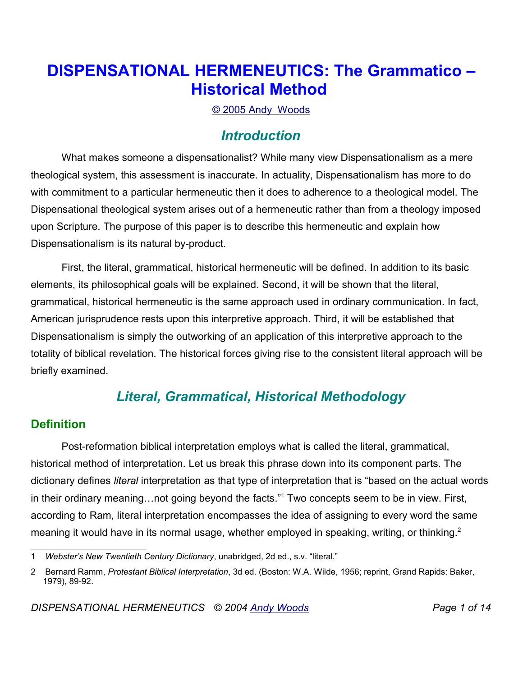# **DISPENSATIONAL HERMENEUTICS: The Grammatico – Historical Method**

© 2005 Andy Woods

# *Introduction*

What makes someone a dispensationalist? While many view Dispensationalism as a mere theological system, this assessment is inaccurate. In actuality, Dispensationalism has more to do with commitment to a particular hermeneutic then it does to adherence to a theological model. The Dispensational theological system arises out of a hermeneutic rather than from a theology imposed upon Scripture. The purpose of this paper is to describe this hermeneutic and explain how Dispensationalism is its natural by-product.

First, the literal, grammatical, historical hermeneutic will be defined. In addition to its basic elements, its philosophical goals will be explained. Second, it will be shown that the literal, grammatical, historical hermeneutic is the same approach used in ordinary communication. In fact, American jurisprudence rests upon this interpretive approach. Third, it will be established that Dispensationalism is simply the outworking of an application of this interpretive approach to the totality of biblical revelation. The historical forces giving rise to the consistent literal approach will be briefly examined.

# *Literal, Grammatical, Historical Methodology*

## **Definition**

Post-reformation biblical interpretation employs what is called the literal, grammatical, historical method of interpretation. Let us break this phrase down into its component parts. The dictionary defines *literal* interpretation as that type of interpretation that is "based on the actual words in their ordinary meaning...not going beyond the facts."<sup>1</sup> Two concepts seem to be in view. First, according to Ram, literal interpretation encompasses the idea of assigning to every word the same meaning it would have in its normal usage, whether employed in speaking, writing, or thinking.<sup>2</sup>

<sup>1</sup> *Webster's New Twentieth Century Dictionary*, unabridged, 2d ed., s.v. "literal."

<sup>2</sup> Bernard Ramm, *Protestant Biblical Interpretation*, 3d ed. (Boston: W.A. Wilde, 1956; reprint, Grand Rapids: Baker, 1979), 89-92.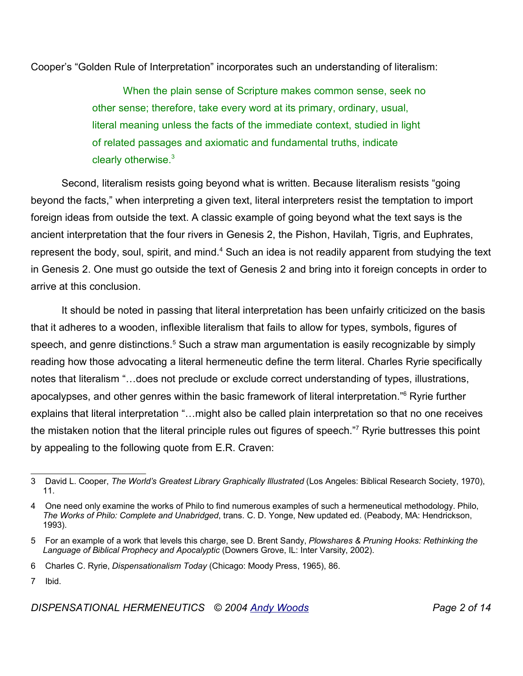Cooper's "Golden Rule of Interpretation" incorporates such an understanding of literalism:

When the plain sense of Scripture makes common sense, seek no other sense; therefore, take every word at its primary, ordinary, usual, literal meaning unless the facts of the immediate context, studied in light of related passages and axiomatic and fundamental truths, indicate clearly otherwise.<sup>3</sup>

Second, literalism resists going beyond what is written. Because literalism resists "going beyond the facts," when interpreting a given text, literal interpreters resist the temptation to import foreign ideas from outside the text. A classic example of going beyond what the text says is the ancient interpretation that the four rivers in Genesis 2, the Pishon, Havilah, Tigris, and Euphrates, represent the body, soul, spirit, and mind.<sup>4</sup> Such an idea is not readily apparent from studying the text in Genesis 2. One must go outside the text of Genesis 2 and bring into it foreign concepts in order to arrive at this conclusion.

It should be noted in passing that literal interpretation has been unfairly criticized on the basis that it adheres to a wooden, inflexible literalism that fails to allow for types, symbols, figures of speech, and genre distinctions.<sup>5</sup> Such a straw man argumentation is easily recognizable by simply reading how those advocating a literal hermeneutic define the term literal. Charles Ryrie specifically notes that literalism "…does not preclude or exclude correct understanding of types, illustrations, apocalypses, and other genres within the basic framework of literal interpretation."<sup>6</sup> Ryrie further explains that literal interpretation "…might also be called plain interpretation so that no one receives the mistaken notion that the literal principle rules out figures of speech."<sup>7</sup> Ryrie buttresses this point by appealing to the following quote from E.R. Craven:

<sup>3</sup> David L. Cooper, *The World's Greatest Library Graphically Illustrated* (Los Angeles: Biblical Research Society, 1970), 11.

<sup>4</sup> One need only examine the works of Philo to find numerous examples of such a hermeneutical methodology. Philo, *The Works of Philo: Complete and Unabridged*, trans. C. D. Yonge, New updated ed. (Peabody, MA: Hendrickson, 1993).

<sup>5</sup> For an example of a work that levels this charge, see D. Brent Sandy, *Plowshares & Pruning Hooks: Rethinking the Language of Biblical Prophecy and Apocalyptic* (Downers Grove, IL: Inter Varsity, 2002).

<sup>6</sup> Charles C. Ryrie, *Dispensationalism Today* (Chicago: Moody Press, 1965), 86.

<sup>7</sup> Ibid.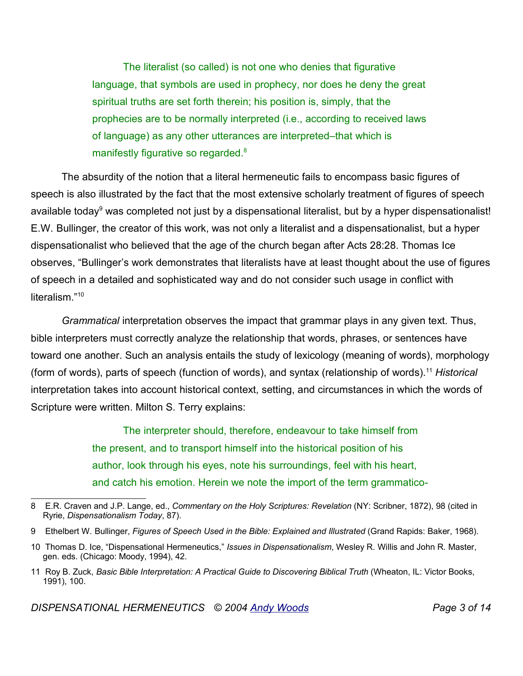The literalist (so called) is not one who denies that figurative language, that symbols are used in prophecy, nor does he deny the great spiritual truths are set forth therein; his position is, simply, that the prophecies are to be normally interpreted (i.e., according to received laws of language) as any other utterances are interpreted–that which is manifestly figurative so regarded.<sup>8</sup>

The absurdity of the notion that a literal hermeneutic fails to encompass basic figures of speech is also illustrated by the fact that the most extensive scholarly treatment of figures of speech available today<sup>9</sup> was completed not just by a dispensational literalist, but by a hyper dispensationalist! E.W. Bullinger, the creator of this work, was not only a literalist and a dispensationalist, but a hyper dispensationalist who believed that the age of the church began after Acts 28:28. Thomas Ice observes, "Bullinger's work demonstrates that literalists have at least thought about the use of figures of speech in a detailed and sophisticated way and do not consider such usage in conflict with literalism." 10

*Grammatical* interpretation observes the impact that grammar plays in any given text. Thus, bible interpreters must correctly analyze the relationship that words, phrases, or sentences have toward one another. Such an analysis entails the study of lexicology (meaning of words), morphology (form of words), parts of speech (function of words), and syntax (relationship of words). <sup>11</sup> *Historical* interpretation takes into account historical context, setting, and circumstances in which the words of Scripture were written. Milton S. Terry explains:

> The interpreter should, therefore, endeavour to take himself from the present, and to transport himself into the historical position of his author, look through his eyes, note his surroundings, feel with his heart, and catch his emotion. Herein we note the import of the term grammatico-

<sup>8</sup> E.R. Craven and J.P. Lange, ed., *Commentary on the Holy Scriptures: Revelation* (NY: Scribner, 1872), 98 (cited in Ryrie, *Dispensationalism Today*, 87).

<sup>9</sup> Ethelbert W. Bullinger, *Figures of Speech Used in the Bible: Explained and Illustrated* (Grand Rapids: Baker, 1968).

<sup>10</sup> Thomas D. Ice, "Dispensational Hermeneutics," *Issues in Dispensationalism*, Wesley R. Willis and John R. Master, gen. eds. (Chicago: Moody, 1994), 42.

<sup>11</sup> Roy B. Zuck, *Basic Bible Interpretation: A Practical Guide to Discovering Biblical Truth* (Wheaton, IL: Victor Books, 1991), 100.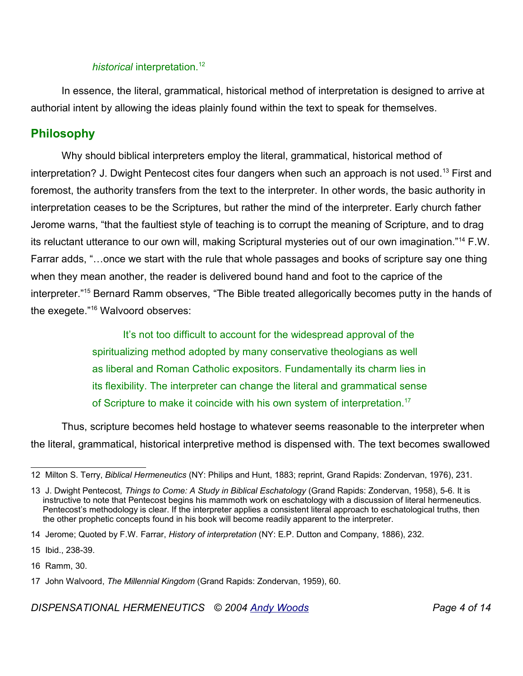#### *historical* interpretation. 12

In essence, the literal, grammatical, historical method of interpretation is designed to arrive at authorial intent by allowing the ideas plainly found within the text to speak for themselves.

#### **Philosophy**

Why should biblical interpreters employ the literal, grammatical, historical method of interpretation? J. Dwight Pentecost cites four dangers when such an approach is not used.<sup>13</sup> First and foremost, the authority transfers from the text to the interpreter. In other words, the basic authority in interpretation ceases to be the Scriptures, but rather the mind of the interpreter. Early church father Jerome warns, "that the faultiest style of teaching is to corrupt the meaning of Scripture, and to drag its reluctant utterance to our own will, making Scriptural mysteries out of our own imagination."<sup>14</sup> F.W. Farrar adds, "…once we start with the rule that whole passages and books of scripture say one thing when they mean another, the reader is delivered bound hand and foot to the caprice of the interpreter."<sup>15</sup> Bernard Ramm observes, "The Bible treated allegorically becomes putty in the hands of the exegete."<sup>16</sup> Walvoord observes:

> It's not too difficult to account for the widespread approval of the spiritualizing method adopted by many conservative theologians as well as liberal and Roman Catholic expositors. Fundamentally its charm lies in its flexibility. The interpreter can change the literal and grammatical sense of Scripture to make it coincide with his own system of interpretation.<sup>17</sup>

Thus, scripture becomes held hostage to whatever seems reasonable to the interpreter when the literal, grammatical, historical interpretive method is dispensed with. The text becomes swallowed

<sup>12</sup> Milton S. Terry, *Biblical Hermeneutics* (NY: Philips and Hunt, 1883; reprint, Grand Rapids: Zondervan, 1976), 231.

<sup>13</sup> J. Dwight Pentecost*, Things to Come: A Study in Biblical Eschatology* (Grand Rapids: Zondervan, 1958), 5-6. It is instructive to note that Pentecost begins his mammoth work on eschatology with a discussion of literal hermeneutics. Pentecost's methodology is clear. If the interpreter applies a consistent literal approach to eschatological truths, then the other prophetic concepts found in his book will become readily apparent to the interpreter.

<sup>14</sup> Jerome; Quoted by F.W. Farrar, *History of interpretation* (NY: E.P. Dutton and Company, 1886), 232.

<sup>15</sup> Ibid., 238-39.

<sup>16</sup> Ramm, 30.

<sup>17</sup> John Walvoord, *The Millennial Kingdom* (Grand Rapids: Zondervan, 1959), 60.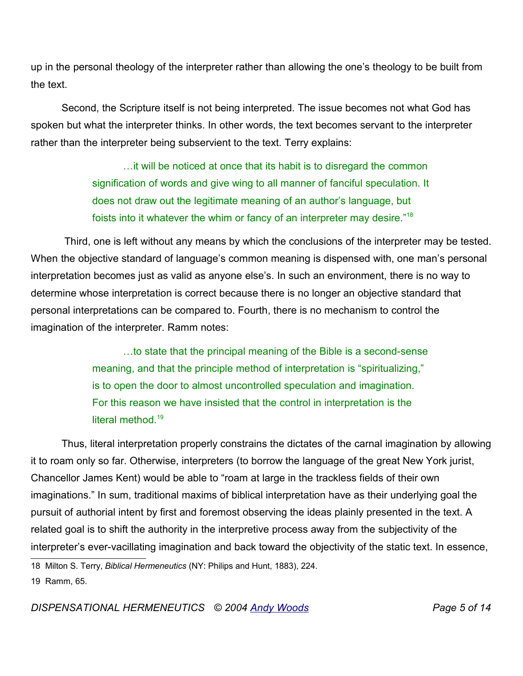up in the personal theology of the interpreter rather than allowing the one's theology to be built from the text.

Second, the Scripture itself is not being interpreted. The issue becomes not what God has spoken but what the interpreter thinks. In other words, the text becomes servant to the interpreter rather than the interpreter being subservient to the text. Terry explains:

> …it will be noticed at once that its habit is to disregard the common signification of words and give wing to all manner of fanciful speculation. It does not draw out the legitimate meaning of an author's language, but foists into it whatever the whim or fancy of an interpreter may desire."<sup>18</sup>

Third, one is left without any means by which the conclusions of the interpreter may be tested. When the objective standard of language's common meaning is dispensed with, one man's personal interpretation becomes just as valid as anyone else's. In such an environment, there is no way to determine whose interpretation is correct because there is no longer an objective standard that personal interpretations can be compared to. Fourth, there is no mechanism to control the imagination of the interpreter. Ramm notes:

> …to state that the principal meaning of the Bible is a second-sense meaning, and that the principle method of interpretation is "spiritualizing," is to open the door to almost uncontrolled speculation and imagination. For this reason we have insisted that the control in interpretation is the literal method. 19

Thus, literal interpretation properly constrains the dictates of the carnal imagination by allowing it to roam only so far. Otherwise, interpreters (to borrow the language of the great New York jurist, Chancellor James Kent) would be able to "roam at large in the trackless fields of their own imaginations." In sum, traditional maxims of biblical interpretation have as their underlying goal the pursuit of authorial intent by first and foremost observing the ideas plainly presented in the text. A related goal is to shift the authority in the interpretive process away from the subjectivity of the interpreter's ever-vacillating imagination and back toward the objectivity of the static text. In essence,

18 Milton S. Terry, *Biblical Hermeneutics* (NY: Philips and Hunt, 1883), 224.

19 Ramm, 65.

*DISPENSATIONAL HERMENEUTICS © 2004 Andy Woods Page 5 of 14*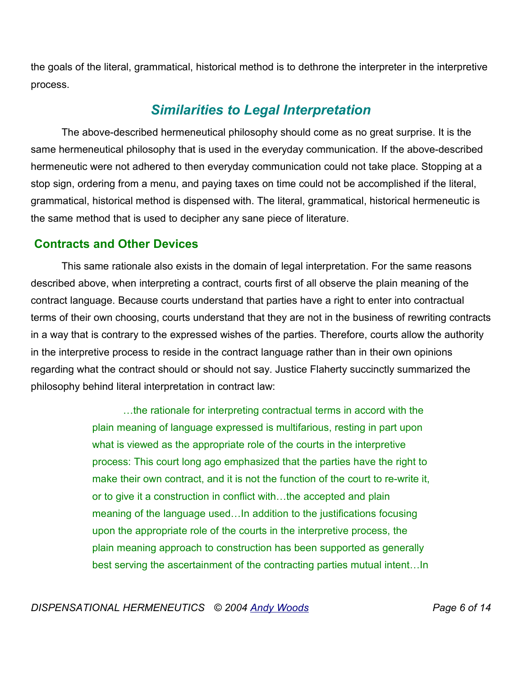the goals of the literal, grammatical, historical method is to dethrone the interpreter in the interpretive process.

## *Similarities to Legal Interpretation*

The above-described hermeneutical philosophy should come as no great surprise. It is the same hermeneutical philosophy that is used in the everyday communication. If the above-described hermeneutic were not adhered to then everyday communication could not take place. Stopping at a stop sign, ordering from a menu, and paying taxes on time could not be accomplished if the literal, grammatical, historical method is dispensed with. The literal, grammatical, historical hermeneutic is the same method that is used to decipher any sane piece of literature.

### **Contracts and Other Devices**

This same rationale also exists in the domain of legal interpretation. For the same reasons described above, when interpreting a contract, courts first of all observe the plain meaning of the contract language. Because courts understand that parties have a right to enter into contractual terms of their own choosing, courts understand that they are not in the business of rewriting contracts in a way that is contrary to the expressed wishes of the parties. Therefore, courts allow the authority in the interpretive process to reside in the contract language rather than in their own opinions regarding what the contract should or should not say. Justice Flaherty succinctly summarized the philosophy behind literal interpretation in contract law:

> …the rationale for interpreting contractual terms in accord with the plain meaning of language expressed is multifarious, resting in part upon what is viewed as the appropriate role of the courts in the interpretive process: This court long ago emphasized that the parties have the right to make their own contract, and it is not the function of the court to re-write it, or to give it a construction in conflict with…the accepted and plain meaning of the language used…In addition to the justifications focusing upon the appropriate role of the courts in the interpretive process, the plain meaning approach to construction has been supported as generally best serving the ascertainment of the contracting parties mutual intent…In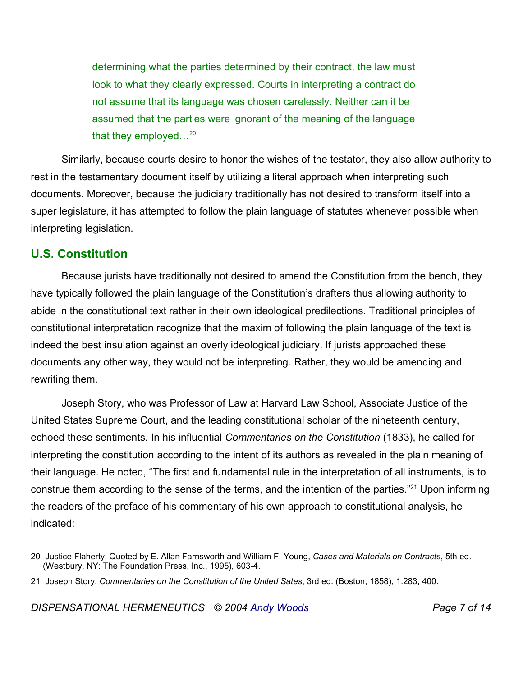determining what the parties determined by their contract, the law must look to what they clearly expressed. Courts in interpreting a contract do not assume that its language was chosen carelessly. Neither can it be assumed that the parties were ignorant of the meaning of the language that they employed... $^{20}$ 

Similarly, because courts desire to honor the wishes of the testator, they also allow authority to rest in the testamentary document itself by utilizing a literal approach when interpreting such documents. Moreover, because the judiciary traditionally has not desired to transform itself into a super legislature, it has attempted to follow the plain language of statutes whenever possible when interpreting legislation.

### **U.S. Constitution**

Because jurists have traditionally not desired to amend the Constitution from the bench, they have typically followed the plain language of the Constitution's drafters thus allowing authority to abide in the constitutional text rather in their own ideological predilections. Traditional principles of constitutional interpretation recognize that the maxim of following the plain language of the text is indeed the best insulation against an overly ideological judiciary. If jurists approached these documents any other way, they would not be interpreting. Rather, they would be amending and rewriting them.

Joseph Story, who was Professor of Law at Harvard Law School, Associate Justice of the United States Supreme Court, and the leading constitutional scholar of the nineteenth century, echoed these sentiments. In his influential *Commentaries on the Constitution* (1833), he called for interpreting the constitution according to the intent of its authors as revealed in the plain meaning of their language. He noted, "The first and fundamental rule in the interpretation of all instruments, is to construe them according to the sense of the terms, and the intention of the parties."<sup>21</sup> Upon informing the readers of the preface of his commentary of his own approach to constitutional analysis, he indicated:

<sup>20</sup> Justice Flaherty; Quoted by E. Allan Farnsworth and William F. Young, *Cases and Materials on Contracts*, 5th ed. (Westbury, NY: The Foundation Press, Inc., 1995), 603-4.

<sup>21</sup> Joseph Story, *Commentaries on the Constitution of the United Sates*, 3rd ed. (Boston, 1858), 1:283, 400.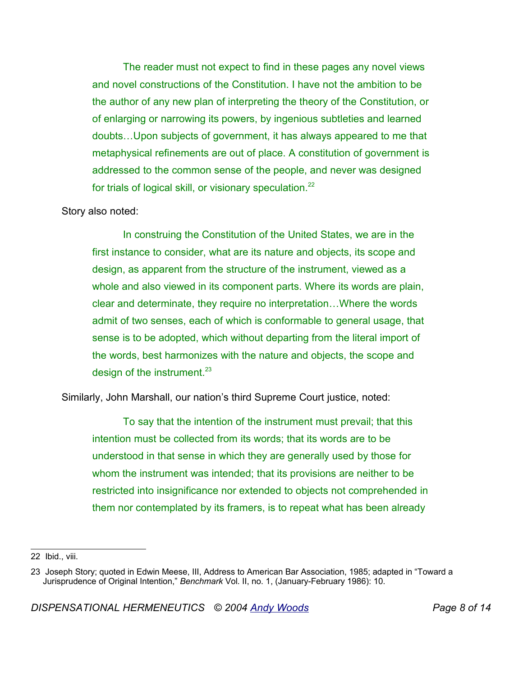The reader must not expect to find in these pages any novel views and novel constructions of the Constitution. I have not the ambition to be the author of any new plan of interpreting the theory of the Constitution, or of enlarging or narrowing its powers, by ingenious subtleties and learned doubts…Upon subjects of government, it has always appeared to me that metaphysical refinements are out of place. A constitution of government is addressed to the common sense of the people, and never was designed for trials of logical skill, or visionary speculation.<sup>22</sup>

#### Story also noted:

In construing the Constitution of the United States, we are in the first instance to consider, what are its nature and objects, its scope and design, as apparent from the structure of the instrument, viewed as a whole and also viewed in its component parts. Where its words are plain, clear and determinate, they require no interpretation…Where the words admit of two senses, each of which is conformable to general usage, that sense is to be adopted, which without departing from the literal import of the words, best harmonizes with the nature and objects, the scope and design of the instrument.  $23$ 

Similarly, John Marshall, our nation's third Supreme Court justice, noted:

To say that the intention of the instrument must prevail; that this intention must be collected from its words; that its words are to be understood in that sense in which they are generally used by those for whom the instrument was intended; that its provisions are neither to be restricted into insignificance nor extended to objects not comprehended in them nor contemplated by its framers, is to repeat what has been already

<sup>22</sup> Ibid., viii.

<sup>23</sup> Joseph Story; quoted in Edwin Meese, III, Address to American Bar Association, 1985; adapted in "Toward a Jurisprudence of Original Intention," *Benchmark* Vol. II, no. 1, (January-February 1986): 10.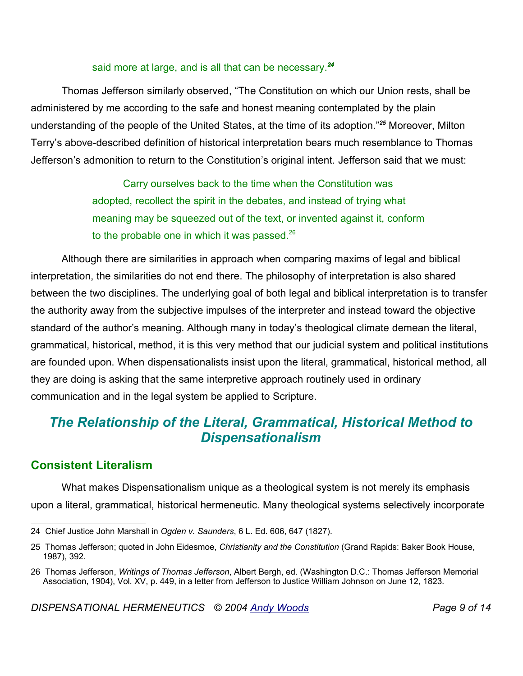#### said more at large, and is all that can be necessary.*<sup>24</sup>*

Thomas Jefferson similarly observed, "The Constitution on which our Union rests, shall be administered by me according to the safe and honest meaning contemplated by the plain understanding of the people of the United States, at the time of its adoption."*<sup>25</sup>* Moreover, Milton Terry's above-described definition of historical interpretation bears much resemblance to Thomas Jefferson's admonition to return to the Constitution's original intent. Jefferson said that we must:

> Carry ourselves back to the time when the Constitution was adopted, recollect the spirit in the debates, and instead of trying what meaning may be squeezed out of the text, or invented against it, conform to the probable one in which it was passed. $^{26}$

Although there are similarities in approach when comparing maxims of legal and biblical interpretation, the similarities do not end there. The philosophy of interpretation is also shared between the two disciplines. The underlying goal of both legal and biblical interpretation is to transfer the authority away from the subjective impulses of the interpreter and instead toward the objective standard of the author's meaning. Although many in today's theological climate demean the literal, grammatical, historical, method, it is this very method that our judicial system and political institutions are founded upon. When dispensationalists insist upon the literal, grammatical, historical method, all they are doing is asking that the same interpretive approach routinely used in ordinary communication and in the legal system be applied to Scripture.

# *The Relationship of the Literal, Grammatical, Historical Method to Dispensationalism*

### **Consistent Literalism**

What makes Dispensationalism unique as a theological system is not merely its emphasis upon a literal, grammatical, historical hermeneutic. Many theological systems selectively incorporate

<sup>24</sup> Chief Justice John Marshall in *Ogden v. Saunders*, 6 L. Ed. 606, 647 (1827).

<sup>25</sup> Thomas Jefferson; quoted in John Eidesmoe, *Christianity and the Constitution* (Grand Rapids: Baker Book House, 1987), 392.

<sup>26</sup> Thomas Jefferson, *Writings of Thomas Jefferson*, Albert Bergh, ed. (Washington D.C.: Thomas Jefferson Memorial Association, 1904), Vol. XV, p. 449, in a letter from Jefferson to Justice William Johnson on June 12, 1823.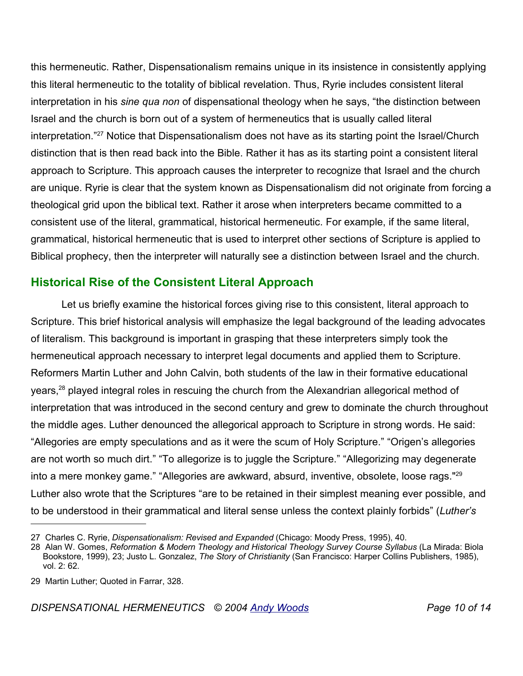this hermeneutic. Rather, Dispensationalism remains unique in its insistence in consistently applying this literal hermeneutic to the totality of biblical revelation. Thus, Ryrie includes consistent literal interpretation in his *sine qua non* of dispensational theology when he says, "the distinction between Israel and the church is born out of a system of hermeneutics that is usually called literal interpretation." <sup>27</sup> Notice that Dispensationalism does not have as its starting point the Israel/Church distinction that is then read back into the Bible. Rather it has as its starting point a consistent literal approach to Scripture. This approach causes the interpreter to recognize that Israel and the church are unique. Ryrie is clear that the system known as Dispensationalism did not originate from forcing a theological grid upon the biblical text. Rather it arose when interpreters became committed to a consistent use of the literal, grammatical, historical hermeneutic. For example, if the same literal, grammatical, historical hermeneutic that is used to interpret other sections of Scripture is applied to Biblical prophecy, then the interpreter will naturally see a distinction between Israel and the church.

## **Historical Rise of the Consistent Literal Approach**

Let us briefly examine the historical forces giving rise to this consistent, literal approach to Scripture. This brief historical analysis will emphasize the legal background of the leading advocates of literalism. This background is important in grasping that these interpreters simply took the hermeneutical approach necessary to interpret legal documents and applied them to Scripture. Reformers Martin Luther and John Calvin, both students of the law in their formative educational years,<sup>28</sup> played integral roles in rescuing the church from the Alexandrian allegorical method of interpretation that was introduced in the second century and grew to dominate the church throughout the middle ages. Luther denounced the allegorical approach to Scripture in strong words. He said: "Allegories are empty speculations and as it were the scum of Holy Scripture." "Origen's allegories are not worth so much dirt." "To allegorize is to juggle the Scripture." "Allegorizing may degenerate into a mere monkey game." "Allegories are awkward, absurd, inventive, obsolete, loose rags."<sup>29</sup> Luther also wrote that the Scriptures "are to be retained in their simplest meaning ever possible, and to be understood in their grammatical and literal sense unless the context plainly forbids" (*Luther's*

<sup>27</sup> Charles C. Ryrie, *Dispensationalism: Revised and Expanded* (Chicago: Moody Press, 1995), 40.

<sup>28</sup> Alan W. Gomes, *Reformation & Modern Theology and Historical Theology Survey Course Syllabus* (La Mirada: Biola Bookstore, 1999), 23; Justo L. Gonzalez, *The Story of Christianity* (San Francisco: Harper Collins Publishers, 1985), vol. 2: 62.

<sup>29</sup> Martin Luther; Quoted in Farrar, 328.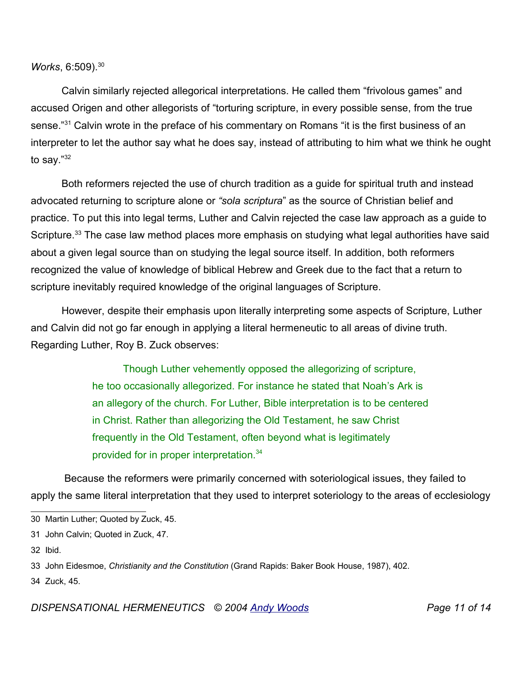*Works*, 6:509).<sup>30</sup>

Calvin similarly rejected allegorical interpretations. He called them "frivolous games" and accused Origen and other allegorists of "torturing scripture, in every possible sense, from the true sense."<sup>31</sup> Calvin wrote in the preface of his commentary on Romans "it is the first business of an interpreter to let the author say what he does say, instead of attributing to him what we think he ought to say." 32

Both reformers rejected the use of church tradition as a guide for spiritual truth and instead advocated returning to scripture alone or *"sola scriptura*" as the source of Christian belief and practice. To put this into legal terms, Luther and Calvin rejected the case law approach as a guide to Scripture.<sup>33</sup> The case law method places more emphasis on studying what legal authorities have said about a given legal source than on studying the legal source itself. In addition, both reformers recognized the value of knowledge of biblical Hebrew and Greek due to the fact that a return to scripture inevitably required knowledge of the original languages of Scripture.

However, despite their emphasis upon literally interpreting some aspects of Scripture, Luther and Calvin did not go far enough in applying a literal hermeneutic to all areas of divine truth. Regarding Luther, Roy B. Zuck observes:

> Though Luther vehemently opposed the allegorizing of scripture, he too occasionally allegorized. For instance he stated that Noah's Ark is an allegory of the church. For Luther, Bible interpretation is to be centered in Christ. Rather than allegorizing the Old Testament, he saw Christ frequently in the Old Testament, often beyond what is legitimately provided for in proper interpretation.<sup>34</sup>

Because the reformers were primarily concerned with soteriological issues, they failed to apply the same literal interpretation that they used to interpret soteriology to the areas of ecclesiology

32 Ibid.

34 Zuck, 45.

<sup>30</sup> Martin Luther; Quoted by Zuck, 45.

<sup>31</sup> John Calvin; Quoted in Zuck, 47.

<sup>33</sup> John Eidesmoe, *Christianity and the Constitution* (Grand Rapids: Baker Book House, 1987), 402.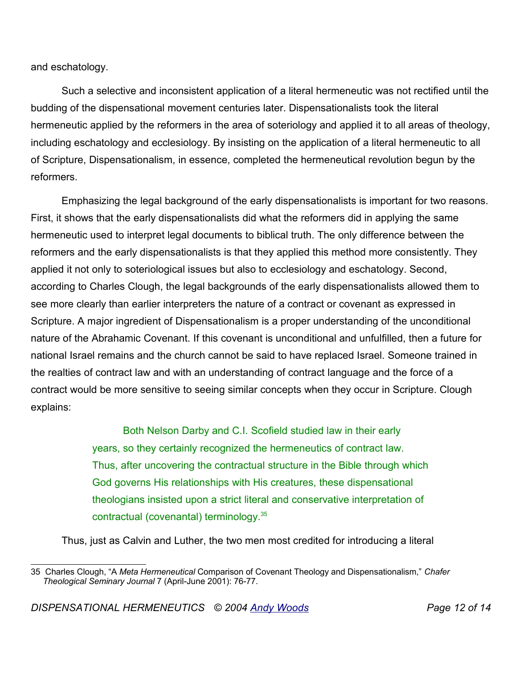and eschatology.

Such a selective and inconsistent application of a literal hermeneutic was not rectified until the budding of the dispensational movement centuries later. Dispensationalists took the literal hermeneutic applied by the reformers in the area of soteriology and applied it to all areas of theology, including eschatology and ecclesiology. By insisting on the application of a literal hermeneutic to all of Scripture, Dispensationalism, in essence, completed the hermeneutical revolution begun by the reformers.

Emphasizing the legal background of the early dispensationalists is important for two reasons. First, it shows that the early dispensationalists did what the reformers did in applying the same hermeneutic used to interpret legal documents to biblical truth. The only difference between the reformers and the early dispensationalists is that they applied this method more consistently. They applied it not only to soteriological issues but also to ecclesiology and eschatology. Second, according to Charles Clough, the legal backgrounds of the early dispensationalists allowed them to see more clearly than earlier interpreters the nature of a contract or covenant as expressed in Scripture. A major ingredient of Dispensationalism is a proper understanding of the unconditional nature of the Abrahamic Covenant. If this covenant is unconditional and unfulfilled, then a future for national Israel remains and the church cannot be said to have replaced Israel. Someone trained in the realties of contract law and with an understanding of contract language and the force of a contract would be more sensitive to seeing similar concepts when they occur in Scripture. Clough explains:

> Both Nelson Darby and C.I. Scofield studied law in their early years, so they certainly recognized the hermeneutics of contract law. Thus, after uncovering the contractual structure in the Bible through which God governs His relationships with His creatures, these dispensational theologians insisted upon a strict literal and conservative interpretation of contractual (covenantal) terminology.<sup>35</sup>

Thus, just as Calvin and Luther, the two men most credited for introducing a literal

<sup>35</sup> Charles Clough, "A *Meta Hermeneutical* Comparison of Covenant Theology and Dispensationalism," *Chafer Theological Seminary Journal* 7 (April-June 2001): 76-77.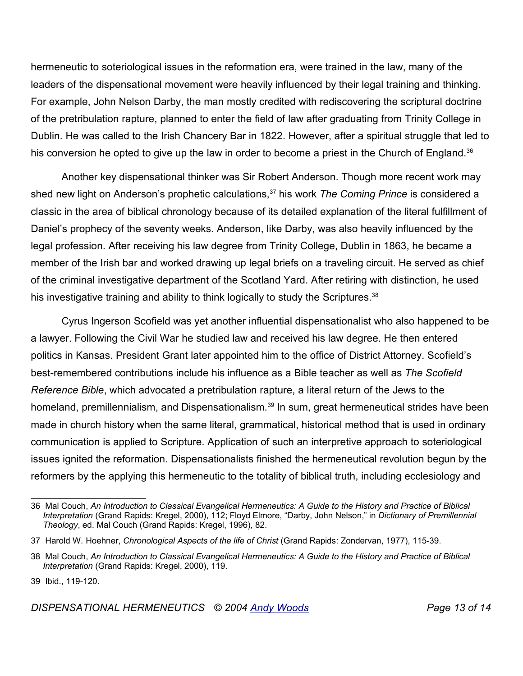hermeneutic to soteriological issues in the reformation era, were trained in the law, many of the leaders of the dispensational movement were heavily influenced by their legal training and thinking. For example, John Nelson Darby, the man mostly credited with rediscovering the scriptural doctrine of the pretribulation rapture, planned to enter the field of law after graduating from Trinity College in Dublin. He was called to the Irish Chancery Bar in 1822. However, after a spiritual struggle that led to his conversion he opted to give up the law in order to become a priest in the Church of England.<sup>36</sup>

Another key dispensational thinker was Sir Robert Anderson. Though more recent work may shed new light on Anderson's prophetic calculations,<sup>37</sup> his work *The Coming Prince* is considered a classic in the area of biblical chronology because of its detailed explanation of the literal fulfillment of Daniel's prophecy of the seventy weeks. Anderson, like Darby, was also heavily influenced by the legal profession. After receiving his law degree from Trinity College, Dublin in 1863, he became a member of the Irish bar and worked drawing up legal briefs on a traveling circuit. He served as chief of the criminal investigative department of the Scotland Yard. After retiring with distinction, he used his investigative training and ability to think logically to study the Scriptures. $38$ 

Cyrus Ingerson Scofield was yet another influential dispensationalist who also happened to be a lawyer. Following the Civil War he studied law and received his law degree. He then entered politics in Kansas. President Grant later appointed him to the office of District Attorney. Scofield's best-remembered contributions include his influence as a Bible teacher as well as *The Scofield Reference Bible*, which advocated a pretribulation rapture, a literal return of the Jews to the homeland, premillennialism, and Dispensationalism.<sup>39</sup> In sum, great hermeneutical strides have been made in church history when the same literal, grammatical, historical method that is used in ordinary communication is applied to Scripture. Application of such an interpretive approach to soteriological issues ignited the reformation. Dispensationalists finished the hermeneutical revolution begun by the reformers by the applying this hermeneutic to the totality of biblical truth, including ecclesiology and

<sup>36</sup> Mal Couch, *An Introduction to Classical Evangelical Hermeneutics: A Guide to the History and Practice of Biblical Interpretation* (Grand Rapids: Kregel, 2000), 112; Floyd Elmore, "Darby, John Nelson," in *Dictionary of Premillennial Theology*, ed. Mal Couch (Grand Rapids: Kregel, 1996), 82.

<sup>37</sup> Harold W. Hoehner, *Chronological Aspects of the life of Christ* (Grand Rapids: Zondervan, 1977), 115-39.

<sup>38</sup> Mal Couch, *An Introduction to Classical Evangelical Hermeneutics: A Guide to the History and Practice of Biblical Interpretation* (Grand Rapids: Kregel, 2000), 119.

<sup>39</sup> Ibid., 119-120.